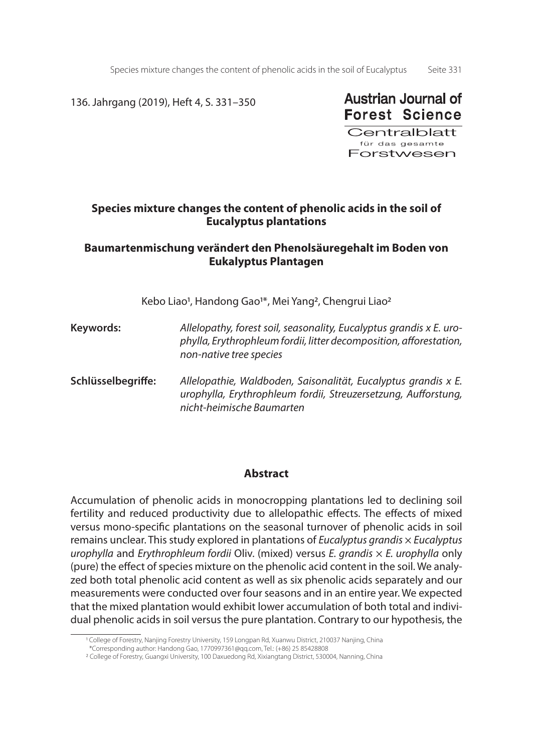Species mixture changes the content of phenolic acids in the soil of Eucalyptus Seite 331

136. Jahrgang (2019), Heft 4, S. 331–350



**Centralblatt** für das gesamte Forstwesen

# **Species mixture changes the content of phenolic acids in the soil of Eucalyptus plantations**

# **Baumartenmischung verändert den Phenolsäuregehalt im Boden von Eukalyptus Plantagen**

Kebo Liao<sup>1</sup>, Handong Gao<sup>1\*</sup>, Mei Yang<sup>2</sup>, Chengrui Liao<sup>2</sup>

- **Keywords:** *Allelopathy, forest soil, seasonality, Eucalyptus grandis x E. urophylla, Erythrophleum fordii, litter decomposition, afforestation, non-native tree species*
- **Schlüsselbegriffe:** *Allelopathie, Waldboden, Saisonalität, Eucalyptus grandis x E. urophylla, Erythrophleum fordii, Streuzersetzung, Aufforstung, nicht-heimische Baumarten*

### **Abstract**

Accumulation of phenolic acids in monocropping plantations led to declining soil fertility and reduced productivity due to allelopathic effects. The effects of mixed versus mono-specific plantations on the seasonal turnover of phenolic acids in soil remains unclear. This study explored in plantations of *Eucalyptus grandis* × *Eucalyptus urophylla* and *Erythrophleum fordii* Oliv. (mixed) versus *E. grandis* × *E. urophylla* only (pure) the effect of species mixture on the phenolic acid content in the soil. We analyzed both total phenolic acid content as well as six phenolic acids separately and our measurements were conducted over four seasons and in an entire year. We expected that the mixed plantation would exhibit lower accumulation of both total and individual phenolic acids in soil versus the pure plantation. Contrary to our hypothesis, the

<sup>1</sup> College of Forestry, Nanjing Forestry University, 159 Longpan Rd, Xuanwu District, 210037 Nanjing, China

 <sup>\*</sup>Corresponding author: Handong Gao, 1770997361@qq.com, Tel.: (+86) 25 85428808

<sup>2</sup> College of Forestry, Guangxi University, 100 Daxuedong Rd, Xixiangtang District, 530004, Nanning, China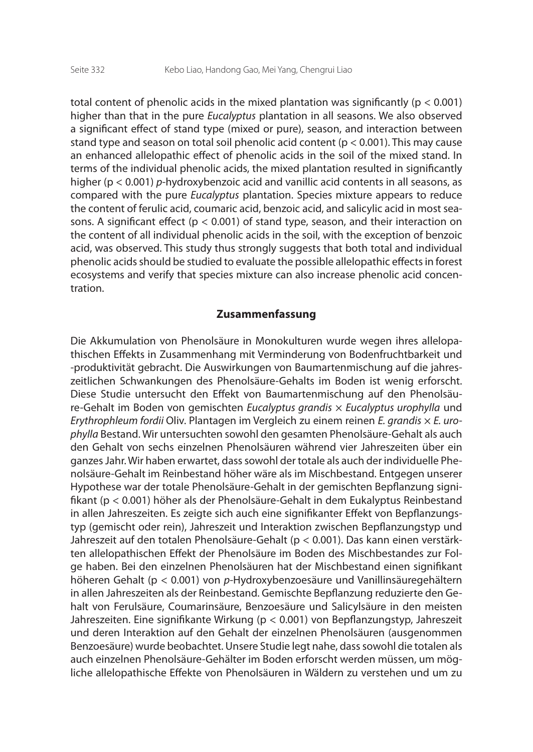total content of phenolic acids in the mixed plantation was significantly ( $p < 0.001$ ) higher than that in the pure *Eucalyptus* plantation in all seasons. We also observed a significant effect of stand type (mixed or pure), season, and interaction between stand type and season on total soil phenolic acid content ( $p < 0.001$ ). This may cause an enhanced allelopathic effect of phenolic acids in the soil of the mixed stand. In terms of the individual phenolic acids, the mixed plantation resulted in significantly higher (p < 0.001) *p*-hydroxybenzoic acid and vanillic acid contents in all seasons, as compared with the pure *Eucalyptus* plantation. Species mixture appears to reduce the content of ferulic acid, coumaric acid, benzoic acid, and salicylic acid in most seasons. A significant effect ( $p < 0.001$ ) of stand type, season, and their interaction on the content of all individual phenolic acids in the soil, with the exception of benzoic acid, was observed. This study thus strongly suggests that both total and individual phenolic acids should be studied to evaluate the possible allelopathic effects in forest ecosystems and verify that species mixture can also increase phenolic acid concentration.

### **Zusammenfassung**

Die Akkumulation von Phenolsäure in Monokulturen wurde wegen ihres allelopathischen Effekts in Zusammenhang mit Verminderung von Bodenfruchtbarkeit und -produktivität gebracht. Die Auswirkungen von Baumartenmischung auf die jahreszeitlichen Schwankungen des Phenolsäure-Gehalts im Boden ist wenig erforscht. Diese Studie untersucht den Effekt von Baumartenmischung auf den Phenolsäure-Gehalt im Boden von gemischten *Eucalyptus grandis* × *Eucalyptus urophylla* und *Erythrophleum fordii* Oliv. Plantagen im Vergleich zu einem reinen *E. grandis* × *E. urophylla* Bestand. Wir untersuchten sowohl den gesamten Phenolsäure-Gehalt als auch den Gehalt von sechs einzelnen Phenolsäuren während vier Jahreszeiten über ein ganzes Jahr. Wir haben erwartet, dass sowohl der totale als auch der individuelle Phenolsäure-Gehalt im Reinbestand höher wäre als im Mischbestand. Entgegen unserer Hypothese war der totale Phenolsäure-Gehalt in der gemischten Bepflanzung signifikant (p < 0.001) höher als der Phenolsäure-Gehalt in dem Eukalyptus Reinbestand in allen Jahreszeiten. Es zeigte sich auch eine signifikanter Effekt von Bepflanzungstyp (gemischt oder rein), Jahreszeit und Interaktion zwischen Bepflanzungstyp und Jahreszeit auf den totalen Phenolsäure-Gehalt (p < 0.001). Das kann einen verstärkten allelopathischen Effekt der Phenolsäure im Boden des Mischbestandes zur Folge haben. Bei den einzelnen Phenolsäuren hat der Mischbestand einen signifikant höheren Gehalt (p < 0.001) von *p*-Hydroxybenzoesäure und Vanillinsäuregehältern in allen Jahreszeiten als der Reinbestand. Gemischte Bepflanzung reduzierte den Gehalt von Ferulsäure, Coumarinsäure, Benzoesäure und Salicylsäure in den meisten Jahreszeiten. Eine signifikante Wirkung (p < 0.001) von Bepflanzungstyp, Jahreszeit und deren Interaktion auf den Gehalt der einzelnen Phenolsäuren (ausgenommen Benzoesäure) wurde beobachtet. Unsere Studie legt nahe, dass sowohl die totalen als auch einzelnen Phenolsäure-Gehälter im Boden erforscht werden müssen, um mögliche allelopathische Effekte von Phenolsäuren in Wäldern zu verstehen und um zu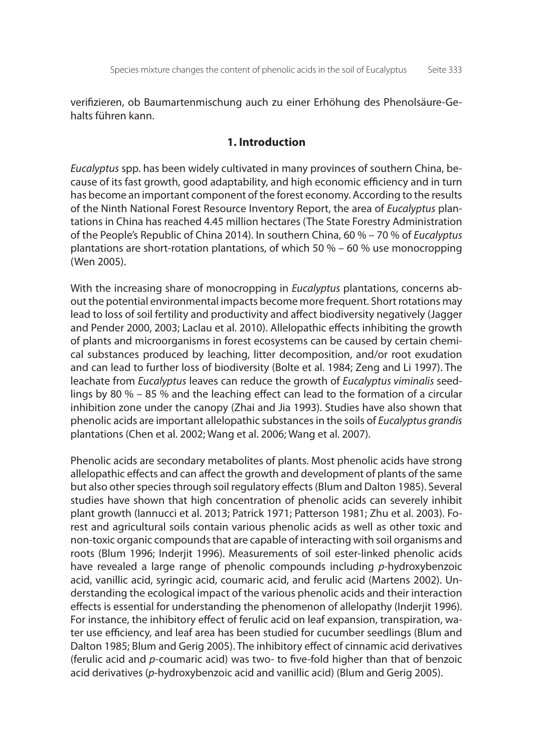verifizieren, ob Baumartenmischung auch zu einer Erhöhung des Phenolsäure-Gehalts führen kann.

### **1. Introduction**

*Eucalyptus* spp. has been widely cultivated in many provinces of southern China, because of its fast growth, good adaptability, and high economic efficiency and in turn has become an important component of the forest economy. According to the results of the Ninth National Forest Resource Inventory Report, the area of *Eucalyptus* plantations in China has reached 4.45 million hectares (The State Forestry Administration of the People's Republic of China 2014). In southern China, 60 % – 70 % of *Eucalyptus* plantations are short-rotation plantations, of which 50 % – 60 % use monocropping (Wen 2005).

With the increasing share of monocropping in *Eucalyptus* plantations, concerns about the potential environmental impacts become more frequent. Short rotations may lead to loss of soil fertility and productivity and affect biodiversity negatively (Jagger and Pender 2000, 2003; Laclau et al. 2010). Allelopathic effects inhibiting the growth of plants and microorganisms in forest ecosystems can be caused by certain chemical substances produced by leaching, litter decomposition, and/or root exudation and can lead to further loss of biodiversity (Bolte et al. 1984; Zeng and Li 1997). The leachate from *Eucalyptus* leaves can reduce the growth of *Eucalyptus viminalis* seedlings by 80 % – 85 % and the leaching effect can lead to the formation of a circular inhibition zone under the canopy (Zhai and Jia 1993). Studies have also shown that phenolic acids are important allelopathic substances in the soils of *Eucalyptus grandis* plantations (Chen et al. 2002; Wang et al. 2006; Wang et al. 2007).

Phenolic acids are secondary metabolites of plants. Most phenolic acids have strong allelopathic effects and can affect the growth and development of plants of the same but also other species through soil regulatory effects (Blum and Dalton 1985). Several studies have shown that high concentration of phenolic acids can severely inhibit plant growth (Iannucci et al. 2013; Patrick 1971; Patterson 1981; Zhu et al. 2003). Forest and agricultural soils contain various phenolic acids as well as other toxic and non-toxic organic compounds that are capable of interacting with soil organisms and roots (Blum 1996; Inderjit 1996). Measurements of soil ester-linked phenolic acids have revealed a large range of phenolic compounds including *p*-hydroxybenzoic acid, vanillic acid, syringic acid, coumaric acid, and ferulic acid (Martens 2002). Understanding the ecological impact of the various phenolic acids and their interaction effects is essential for understanding the phenomenon of allelopathy (Inderjit 1996). For instance, the inhibitory effect of ferulic acid on leaf expansion, transpiration, water use efficiency, and leaf area has been studied for cucumber seedlings (Blum and Dalton 1985; Blum and Gerig 2005). The inhibitory effect of cinnamic acid derivatives (ferulic acid and *p*-coumaric acid) was two- to five-fold higher than that of benzoic acid derivatives (*p*-hydroxybenzoic acid and vanillic acid) (Blum and Gerig 2005).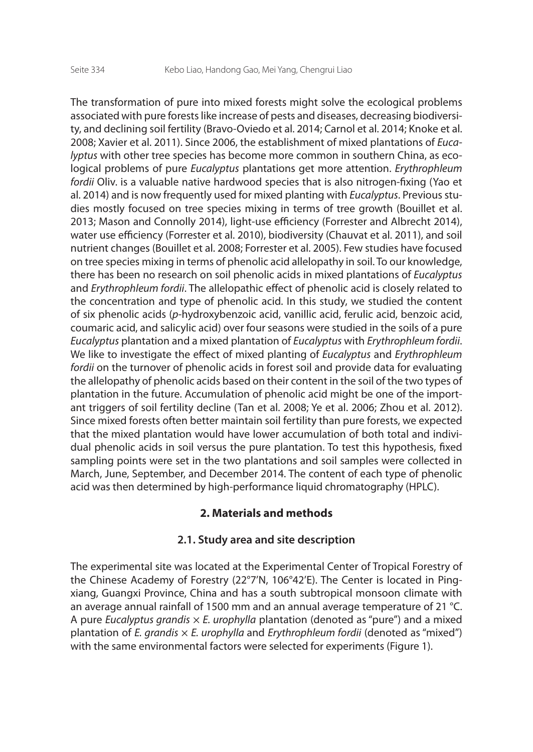The transformation of pure into mixed forests might solve the ecological problems associated with pure forests like increase of pests and diseases, decreasing biodiversity, and declining soil fertility (Bravo-Oviedo et al. 2014; Carnol et al. 2014; Knoke et al. 2008; Xavier et al. 2011). Since 2006, the establishment of mixed plantations of *Eucalyptus* with other tree species has become more common in southern China, as ecological problems of pure *Eucalyptus* plantations get more attention. *Erythrophleum fordii* Oliv. is a valuable native hardwood species that is also nitrogen-fixing (Yao et al. 2014) and is now frequently used for mixed planting with *Eucalyptus*. Previous studies mostly focused on tree species mixing in terms of tree growth (Bouillet et al. 2013; Mason and Connolly 2014), light-use efficiency (Forrester and Albrecht 2014), water use efficiency (Forrester et al. 2010), biodiversity (Chauvat et al. 2011), and soil nutrient changes (Bouillet et al. 2008; Forrester et al. 2005). Few studies have focused on tree species mixing in terms of phenolic acid allelopathy in soil. To our knowledge, there has been no research on soil phenolic acids in mixed plantations of *Eucalyptus* and *Erythrophleum fordii*. The allelopathic effect of phenolic acid is closely related to the concentration and type of phenolic acid. In this study, we studied the content of six phenolic acids (*p*-hydroxybenzoic acid, vanillic acid, ferulic acid, benzoic acid, coumaric acid, and salicylic acid) over four seasons were studied in the soils of a pure *Eucalyptus* plantation and a mixed plantation of *Eucalyptus* with *Erythrophleum fordii*. We like to investigate the effect of mixed planting of *Eucalyptus* and *Erythrophleum fordii* on the turnover of phenolic acids in forest soil and provide data for evaluating the allelopathy of phenolic acids based on their content in the soil of the two types of plantation in the future. Accumulation of phenolic acid might be one of the important triggers of soil fertility decline (Tan et al. 2008; Ye et al. 2006; Zhou et al. 2012). Since mixed forests often better maintain soil fertility than pure forests, we expected that the mixed plantation would have lower accumulation of both total and individual phenolic acids in soil versus the pure plantation. To test this hypothesis, fixed sampling points were set in the two plantations and soil samples were collected in March, June, September, and December 2014. The content of each type of phenolic acid was then determined by high-performance liquid chromatography (HPLC).

### **2. Materials and methods**

### **2.1. Study area and site description**

The experimental site was located at the Experimental Center of Tropical Forestry of the Chinese Academy of Forestry (22°7'N, 106°42'E). The Center is located in Pingxiang, Guangxi Province, China and has a south subtropical monsoon climate with an average annual rainfall of 1500 mm and an annual average temperature of 21 °C. A pure *Eucalyptus grandis* × *E. urophylla* plantation (denoted as "pure") and a mixed plantation of *E. grandis* × *E. urophylla* and *Erythrophleum fordii* (denoted as "mixed") with the same environmental factors were selected for experiments (Figure 1).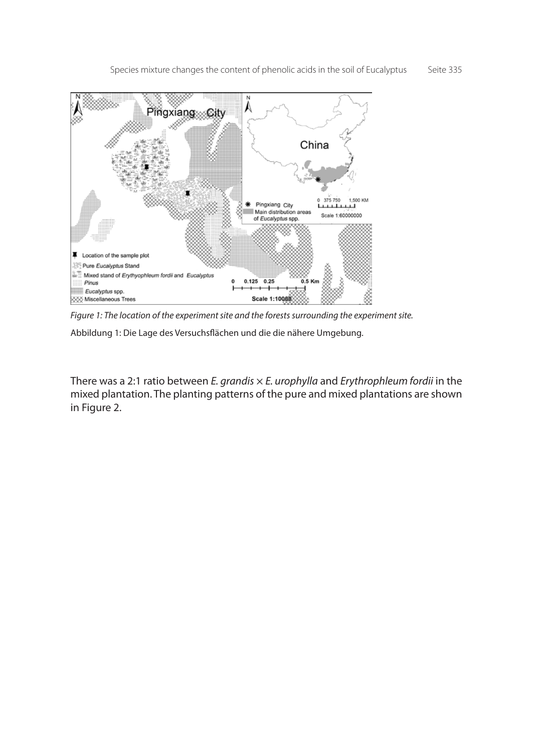Species mixture changes the content of phenolic acids in the soil of Eucalyptus Seite 335



*Figure 1: The location of the experiment site and the forests surrounding the experiment site.*

Abbildung 1: Die Lage des Versuchsflächen und die die nähere Umgebung.

There was a 2:1 ratio between *E. grandis* × *E. urophylla* and *Erythrophleum fordii* in the mixed plantation. The planting patterns of the pure and mixed plantations are shown in Figure 2.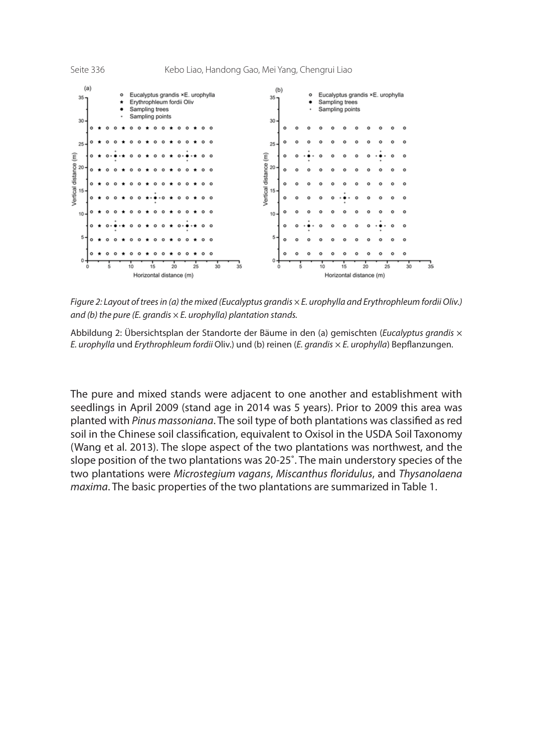

*Figure 2: Layout of trees in (a) the mixed (Eucalyptus grandis × E. urophylla and Erythrophleum fordii Oliv.) and (b) the pure (E. grandis × E. urophylla) plantation stands.*

Abbildung 2: Übersichtsplan der Standorte der Bäume in den (a) gemischten (*Eucalyptus grandis* × *E. urophylla* und *Erythrophleum fordii* Oliv.) und (b) reinen (*E. grandis* × *E. urophylla*) Bepflanzungen.

The pure and mixed stands were adjacent to one another and establishment with seedlings in April 2009 (stand age in 2014 was 5 years). Prior to 2009 this area was planted with *Pinus massoniana*. The soil type of both plantations was classified as red soil in the Chinese soil classification, equivalent to Oxisol in the USDA Soil Taxonomy (Wang et al. 2013). The slope aspect of the two plantations was northwest, and the slope position of the two plantations was 20-25˚. The main understory species of the two plantations were *Microstegium vagans*, *Miscanthus floridulus*, and *Thysanolaena maxima*. The basic properties of the two plantations are summarized in Table 1.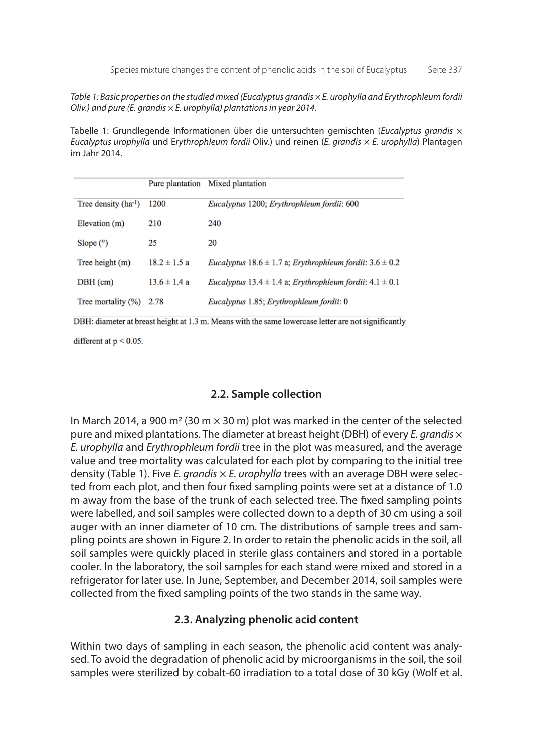*Table 1: Basic properties on the studied mixed (Eucalyptus grandis × E. urophylla and Erythrophleum fordii Oliv.) and pure (E. grandis × E. urophylla) plantations in year 2014.*

Tabelle 1: Grundlegende Informationen über die untersuchten gemischten (*Eucalyptus grandis* × *Eucalyptus urophylla* und E*rythrophleum fordii* Oliv.) und reinen (*E. grandis* × *E. urophylla*) Plantagen im Jahr 2014.

|                          |                  | Pure plantation Mixed plantation                                                |
|--------------------------|------------------|---------------------------------------------------------------------------------|
| Tree density $(ha^{-1})$ | 1200             | Eucalyptus 1200; Erythrophleum fordii: 600                                      |
| Elevation (m)            | 210              | 240                                                                             |
| Slope $(°)$              | 25               | 20                                                                              |
| Tree height $(m)$        | $18.2 \pm 1.5$ a | <i>Eucalyptus</i> $18.6 \pm 1.7$ a; <i>Erythrophleum fordii</i> : $3.6 \pm 0.2$ |
| $DBH$ (cm)               | $13.6 \pm 1.4 a$ | <i>Eucalyptus</i> $13.4 \pm 1.4$ a; <i>Erythrophleum fordii</i> : $4.1 \pm 0.1$ |
| Tree mortality $(\%)$    | 2.78             | Eucalyptus 1.85; Erythrophleum fordii: 0                                        |

DBH: diameter at breast height at 1.3 m. Means with the same lowercase letter are not significantly

different at  $p < 0.05$ .

### **2.2. Sample collection**

In March 2014, a 900 m<sup>2</sup> (30 m  $\times$  30 m) plot was marked in the center of the selected pure and mixed plantations. The diameter at breast height (DBH) of every *E. grandis* × *E. urophylla* and *Erythrophleum fordii* tree in the plot was measured, and the average value and tree mortality was calculated for each plot by comparing to the initial tree density (Table 1). Five *E. grandis* × *E. urophylla* trees with an average DBH were selected from each plot, and then four fixed sampling points were set at a distance of 1.0 m away from the base of the trunk of each selected tree. The fixed sampling points were labelled, and soil samples were collected down to a depth of 30 cm using a soil auger with an inner diameter of 10 cm. The distributions of sample trees and sampling points are shown in Figure 2. In order to retain the phenolic acids in the soil, all soil samples were quickly placed in sterile glass containers and stored in a portable cooler. In the laboratory, the soil samples for each stand were mixed and stored in a refrigerator for later use. In June, September, and December 2014, soil samples were collected from the fixed sampling points of the two stands in the same way.

### **2.3. Analyzing phenolic acid content**

Within two days of sampling in each season, the phenolic acid content was analysed. To avoid the degradation of phenolic acid by microorganisms in the soil, the soil samples were sterilized by cobalt-60 irradiation to a total dose of 30 kGy (Wolf et al.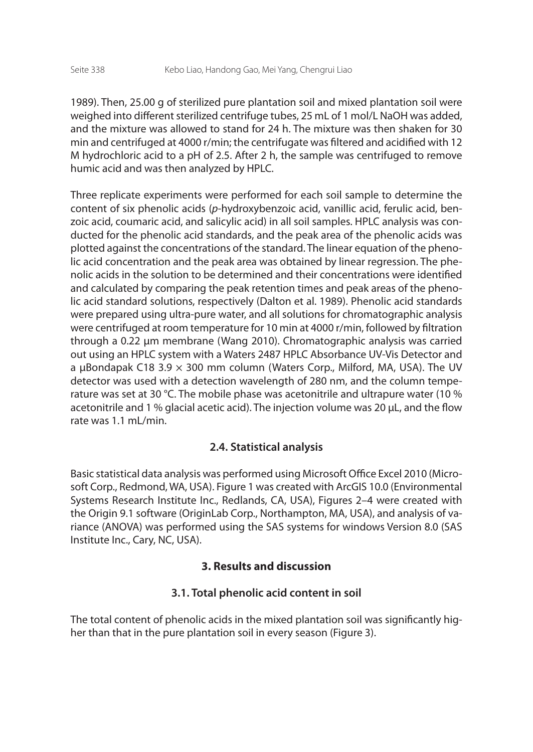1989). Then, 25.00 g of sterilized pure plantation soil and mixed plantation soil were weighed into different sterilized centrifuge tubes, 25 mL of 1 mol/L NaOH was added, and the mixture was allowed to stand for 24 h. The mixture was then shaken for 30 min and centrifuged at 4000 r/min; the centrifugate was filtered and acidified with 12 M hydrochloric acid to a pH of 2.5. After 2 h, the sample was centrifuged to remove humic acid and was then analyzed by HPLC.

Three replicate experiments were performed for each soil sample to determine the content of six phenolic acids (*p*-hydroxybenzoic acid, vanillic acid, ferulic acid, benzoic acid, coumaric acid, and salicylic acid) in all soil samples. HPLC analysis was conducted for the phenolic acid standards, and the peak area of the phenolic acids was plotted against the concentrations of the standard. The linear equation of the phenolic acid concentration and the peak area was obtained by linear regression. The phenolic acids in the solution to be determined and their concentrations were identified and calculated by comparing the peak retention times and peak areas of the phenolic acid standard solutions, respectively (Dalton et al. 1989). Phenolic acid standards were prepared using ultra-pure water, and all solutions for chromatographic analysis were centrifuged at room temperature for 10 min at 4000 r/min, followed by filtration through a 0.22 μm membrane (Wang 2010). Chromatographic analysis was carried out using an HPLC system with a Waters 2487 HPLC Absorbance UV-Vis Detector and a μBondapak C18 3.9  $\times$  300 mm column (Waters Corp., Milford, MA, USA). The UV detector was used with a detection wavelength of 280 nm, and the column temperature was set at 30 °C. The mobile phase was acetonitrile and ultrapure water (10 % acetonitrile and 1 % glacial acetic acid). The injection volume was 20 μL, and the flow rate was 1.1 mL/min.

## **2.4. Statistical analysis**

Basic statistical data analysis was performed using Microsoft Office Excel 2010 (Microsoft Corp., Redmond, WA, USA). Figure 1 was created with ArcGIS 10.0 (Environmental Systems Research Institute Inc., Redlands, CA, USA), Figures 2–4 were created with the Origin 9.1 software (OriginLab Corp., Northampton, MA, USA), and analysis of variance (ANOVA) was performed using the SAS systems for windows Version 8.0 (SAS Institute Inc., Cary, NC, USA).

## **3. Results and discussion**

# **3.1. Total phenolic acid content in soil**

The total content of phenolic acids in the mixed plantation soil was significantly higher than that in the pure plantation soil in every season (Figure 3).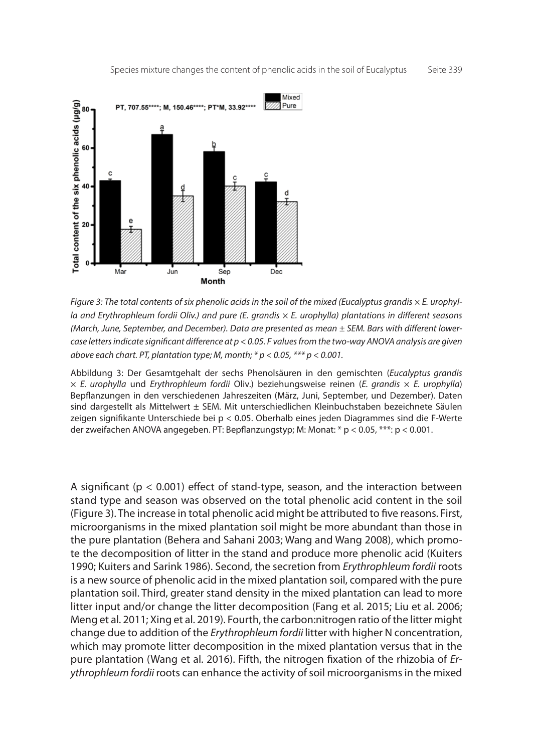

*Figure 3: The total contents of six phenolic acids in the soil of the mixed (Eucalyptus grandis × E. urophylla and Erythrophleum fordii Oliv.) and pure (E. grandis × E. urophylla) plantations in different seasons (March, June, September, and December). Data are presented as mean ± SEM. Bars with different lowercase letters indicate significant difference at p < 0.05. F values from the two-way ANOVA analysis are given above each chart. PT, plantation type; M, month; \* p < 0.05, \*\*\* p < 0.001.*

Abbildung 3: Der Gesamtgehalt der sechs Phenolsäuren in den gemischten (*Eucalyptus grandis* × *E. urophylla* und *Erythrophleum fordii* Oliv.) beziehungsweise reinen (*E. grandis* × *E. urophylla*) Bepflanzungen in den verschiedenen Jahreszeiten (März, Juni, September, und Dezember). Daten sind dargestellt als Mittelwert ± SEM. Mit unterschiedlichen Kleinbuchstaben bezeichnete Säulen zeigen signifikante Unterschiede bei p < 0.05. Oberhalb eines jeden Diagrammes sind die F-Werte der zweifachen ANOVA angegeben. PT: Bepflanzungstyp; M: Monat: \* p < 0.05, \*\*\*: p < 0.001.

A significant ( $p < 0.001$ ) effect of stand-type, season, and the interaction between stand type and season was observed on the total phenolic acid content in the soil (Figure 3). The increase in total phenolic acid might be attributed to five reasons. First, microorganisms in the mixed plantation soil might be more abundant than those in the pure plantation (Behera and Sahani 2003; Wang and Wang 2008), which promote the decomposition of litter in the stand and produce more phenolic acid (Kuiters 1990; Kuiters and Sarink 1986). Second, the secretion from *Erythrophleum fordii* roots is a new source of phenolic acid in the mixed plantation soil, compared with the pure plantation soil. Third, greater stand density in the mixed plantation can lead to more litter input and/or change the litter decomposition (Fang et al. 2015; Liu et al. 2006; Meng et al. 2011; Xing et al. 2019). Fourth, the carbon:nitrogen ratio of the litter might change due to addition of the *Erythrophleum fordii* litter with higher N concentration, which may promote litter decomposition in the mixed plantation versus that in the pure plantation (Wang et al. 2016). Fifth, the nitrogen fixation of the rhizobia of *Erythrophleum fordii* roots can enhance the activity of soil microorganisms in the mixed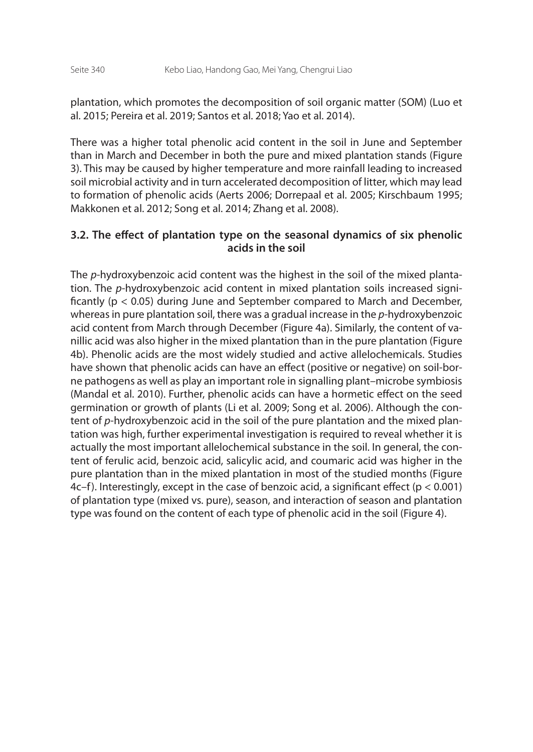plantation, which promotes the decomposition of soil organic matter (SOM) (Luo et al. 2015; Pereira et al. 2019; Santos et al. 2018; Yao et al. 2014).

There was a higher total phenolic acid content in the soil in June and September than in March and December in both the pure and mixed plantation stands (Figure 3). This may be caused by higher temperature and more rainfall leading to increased soil microbial activity and in turn accelerated decomposition of litter, which may lead to formation of phenolic acids (Aerts 2006; Dorrepaal et al. 2005; Kirschbaum 1995; Makkonen et al. 2012; Song et al. 2014; Zhang et al. 2008).

### **3.2. The effect of plantation type on the seasonal dynamics of six phenolic acids in the soil**

The *p*-hydroxybenzoic acid content was the highest in the soil of the mixed plantation. The *p*-hydroxybenzoic acid content in mixed plantation soils increased significantly (p < 0.05) during June and September compared to March and December, whereas in pure plantation soil, there was a gradual increase in the *p*-hydroxybenzoic acid content from March through December (Figure 4a). Similarly, the content of vanillic acid was also higher in the mixed plantation than in the pure plantation (Figure 4b). Phenolic acids are the most widely studied and active allelochemicals. Studies have shown that phenolic acids can have an effect (positive or negative) on soil-borne pathogens as well as play an important role in signalling plant–microbe symbiosis (Mandal et al. 2010). Further, phenolic acids can have a hormetic effect on the seed germination or growth of plants (Li et al. 2009; Song et al. 2006). Although the content of *p*-hydroxybenzoic acid in the soil of the pure plantation and the mixed plantation was high, further experimental investigation is required to reveal whether it is actually the most important allelochemical substance in the soil. In general, the content of ferulic acid, benzoic acid, salicylic acid, and coumaric acid was higher in the pure plantation than in the mixed plantation in most of the studied months (Figure 4c–f). Interestingly, except in the case of benzoic acid, a significant effect ( $p < 0.001$ ) of plantation type (mixed vs. pure), season, and interaction of season and plantation type was found on the content of each type of phenolic acid in the soil (Figure 4).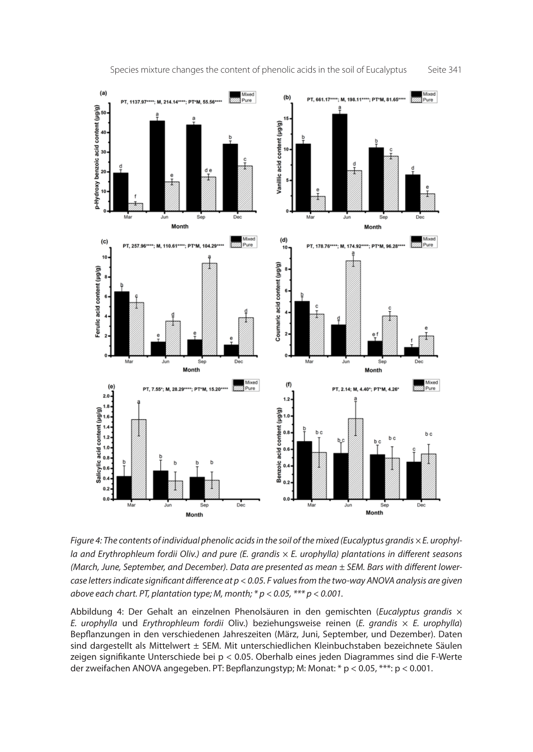

*Figure 4: The contents of individual phenolic acids in the soil of the mixed (Eucalyptus grandis × E. urophylla and Erythrophleum fordii Oliv.) and pure (E. grandis × E. urophylla) plantations in different seasons (March, June, September, and December). Data are presented as mean ± SEM. Bars with different lowercase letters indicate significant difference at p < 0.05. F values from the two-way ANOVA analysis are given above each chart. PT, plantation type; M, month; \* p < 0.05, \*\*\* p < 0.001.*

Abbildung 4: Der Gehalt an einzelnen Phenolsäuren in den gemischten (*Eucalyptus grandis* × *E. urophylla* und *Erythrophleum fordii* Oliv.) beziehungsweise reinen (*E. grandis* × *E. urophylla*) Bepflanzungen in den verschiedenen Jahreszeiten (März, Juni, September, und Dezember). Daten sind dargestellt als Mittelwert ± SEM. Mit unterschiedlichen Kleinbuchstaben bezeichnete Säulen zeigen signifikante Unterschiede bei p < 0.05. Oberhalb eines jeden Diagrammes sind die F-Werte der zweifachen ANOVA angegeben. PT: Bepflanzungstyp; M: Monat: \* p < 0.05, \*\*\*: p < 0.001.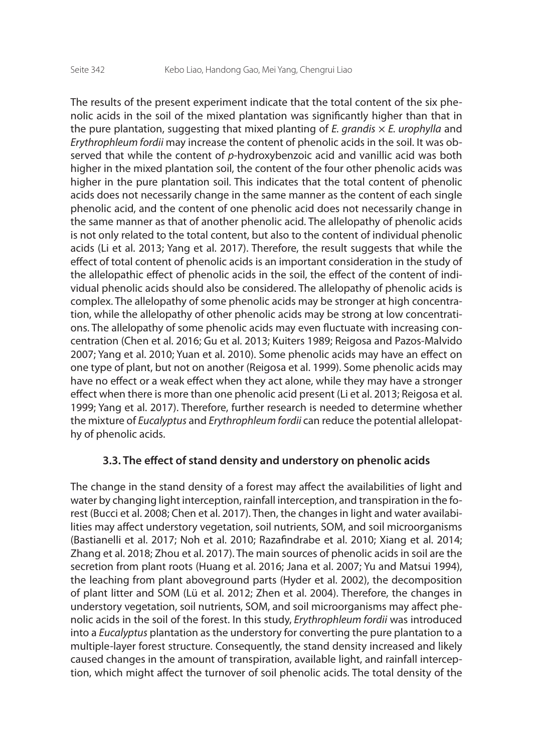The results of the present experiment indicate that the total content of the six phenolic acids in the soil of the mixed plantation was significantly higher than that in the pure plantation, suggesting that mixed planting of *E. grandis* × *E. urophylla* and *Erythrophleum fordii* may increase the content of phenolic acids in the soil. It was observed that while the content of *p*-hydroxybenzoic acid and vanillic acid was both higher in the mixed plantation soil, the content of the four other phenolic acids was higher in the pure plantation soil. This indicates that the total content of phenolic acids does not necessarily change in the same manner as the content of each single phenolic acid, and the content of one phenolic acid does not necessarily change in the same manner as that of another phenolic acid. The allelopathy of phenolic acids is not only related to the total content, but also to the content of individual phenolic acids (Li et al. 2013; Yang et al. 2017). Therefore, the result suggests that while the effect of total content of phenolic acids is an important consideration in the study of the allelopathic effect of phenolic acids in the soil, the effect of the content of individual phenolic acids should also be considered. The allelopathy of phenolic acids is complex. The allelopathy of some phenolic acids may be stronger at high concentration, while the allelopathy of other phenolic acids may be strong at low concentrations. The allelopathy of some phenolic acids may even fluctuate with increasing concentration (Chen et al. 2016; Gu et al. 2013; Kuiters 1989; Reigosa and Pazos-Malvido 2007; Yang et al. 2010; Yuan et al. 2010). Some phenolic acids may have an effect on one type of plant, but not on another (Reigosa et al. 1999). Some phenolic acids may have no effect or a weak effect when they act alone, while they may have a stronger effect when there is more than one phenolic acid present (Li et al. 2013; Reigosa et al. 1999; Yang et al. 2017). Therefore, further research is needed to determine whether the mixture of *Eucalyptus* and *Erythrophleum fordii* can reduce the potential allelopathy of phenolic acids.

### **3.3. The effect of stand density and understory on phenolic acids**

The change in the stand density of a forest may affect the availabilities of light and water by changing light interception, rainfall interception, and transpiration in the forest (Bucci et al. 2008; Chen et al. 2017). Then, the changes in light and water availabilities may affect understory vegetation, soil nutrients, SOM, and soil microorganisms (Bastianelli et al. 2017; Noh et al. 2010; Razafindrabe et al. 2010; Xiang et al. 2014; Zhang et al. 2018; Zhou et al. 2017). The main sources of phenolic acids in soil are the secretion from plant roots (Huang et al. 2016; Jana et al. 2007; Yu and Matsui 1994), the leaching from plant aboveground parts (Hyder et al. 2002), the decomposition of plant litter and SOM (Lü et al. 2012; Zhen et al. 2004). Therefore, the changes in understory vegetation, soil nutrients, SOM, and soil microorganisms may affect phenolic acids in the soil of the forest. In this study, *Erythrophleum fordii* was introduced into a *Eucalyptus* plantation as the understory for converting the pure plantation to a multiple-layer forest structure. Consequently, the stand density increased and likely caused changes in the amount of transpiration, available light, and rainfall interception, which might affect the turnover of soil phenolic acids. The total density of the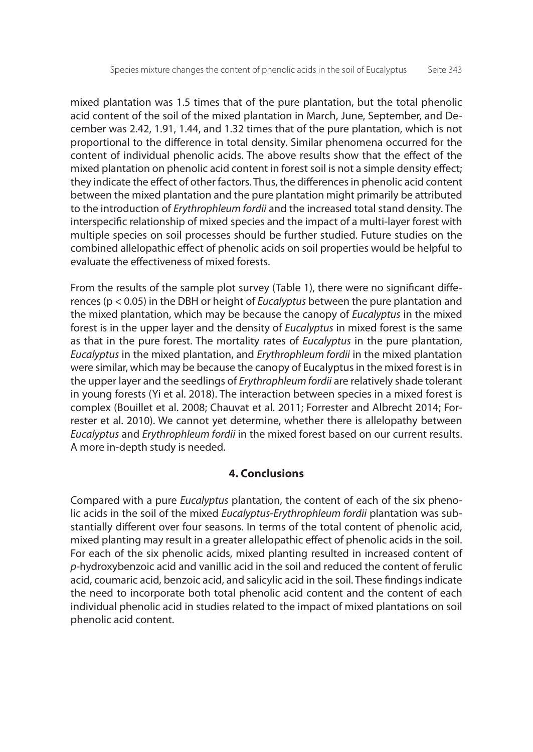mixed plantation was 1.5 times that of the pure plantation, but the total phenolic acid content of the soil of the mixed plantation in March, June, September, and December was 2.42, 1.91, 1.44, and 1.32 times that of the pure plantation, which is not proportional to the difference in total density. Similar phenomena occurred for the content of individual phenolic acids. The above results show that the effect of the mixed plantation on phenolic acid content in forest soil is not a simple density effect; they indicate the effect of other factors. Thus, the differences in phenolic acid content between the mixed plantation and the pure plantation might primarily be attributed to the introduction of *Erythrophleum fordii* and the increased total stand density. The interspecific relationship of mixed species and the impact of a multi-layer forest with multiple species on soil processes should be further studied. Future studies on the combined allelopathic effect of phenolic acids on soil properties would be helpful to evaluate the effectiveness of mixed forests.

From the results of the sample plot survey (Table 1), there were no significant differences (p < 0.05) in the DBH or height of *Eucalyptus* between the pure plantation and the mixed plantation, which may be because the canopy of *Eucalyptus* in the mixed forest is in the upper layer and the density of *Eucalyptus* in mixed forest is the same as that in the pure forest. The mortality rates of *Eucalyptus* in the pure plantation, *Eucalyptus* in the mixed plantation, and *Erythrophleum fordii* in the mixed plantation were similar, which may be because the canopy of Eucalyptus in the mixed forest is in the upper layer and the seedlings of *Erythrophleum fordii* are relatively shade tolerant in young forests (Yi et al. 2018). The interaction between species in a mixed forest is complex (Bouillet et al. 2008; Chauvat et al. 2011; Forrester and Albrecht 2014; Forrester et al. 2010). We cannot yet determine, whether there is allelopathy between *Eucalyptus* and *Erythrophleum fordii* in the mixed forest based on our current results. A more in-depth study is needed.

## **4. Conclusions**

Compared with a pure *Eucalyptus* plantation, the content of each of the six phenolic acids in the soil of the mixed *Eucalyptus*-*Erythrophleum fordii* plantation was substantially different over four seasons. In terms of the total content of phenolic acid, mixed planting may result in a greater allelopathic effect of phenolic acids in the soil. For each of the six phenolic acids, mixed planting resulted in increased content of *p*-hydroxybenzoic acid and vanillic acid in the soil and reduced the content of ferulic acid, coumaric acid, benzoic acid, and salicylic acid in the soil. These findings indicate the need to incorporate both total phenolic acid content and the content of each individual phenolic acid in studies related to the impact of mixed plantations on soil phenolic acid content.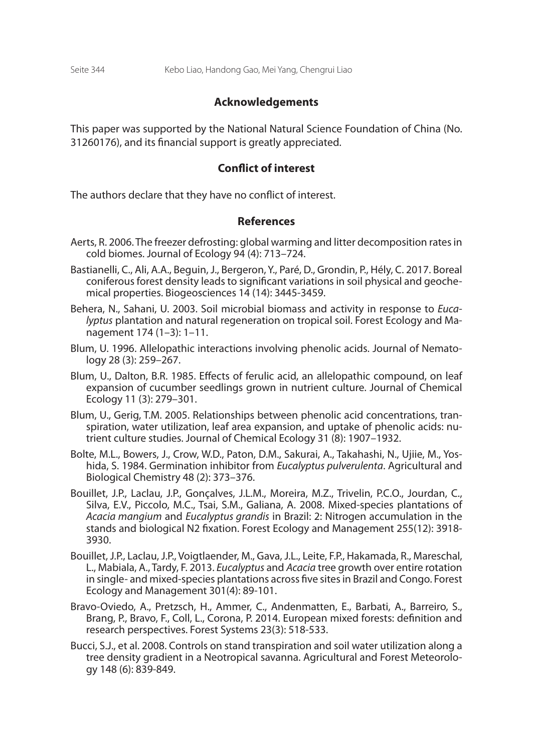#### **Acknowledgements**

This paper was supported by the National Natural Science Foundation of China (No. 31260176), and its financial support is greatly appreciated.

#### **Conflict of interest**

The authors declare that they have no conflict of interest.

#### **References**

- Aerts, R. 2006. The freezer defrosting: global warming and litter decomposition rates in cold biomes. Journal of Ecology 94 (4): 713–724.
- Bastianelli, C., Ali, A.A., Beguin, J., Bergeron, Y., Paré, D., Grondin, P., Hély, C. 2017. Boreal coniferous forest density leads to significant variations in soil physical and geochemical properties. Biogeosciences 14 (14): 3445-3459.
- Behera, N., Sahani, U. 2003. Soil microbial biomass and activity in response to *Eucalyptus* plantation and natural regeneration on tropical soil. Forest Ecology and Management 174 (1–3): 1–11.
- Blum, U. 1996. Allelopathic interactions involving phenolic acids. Journal of Nematology 28 (3): 259–267.
- Blum, U., Dalton, B.R. 1985. Effects of ferulic acid, an allelopathic compound, on leaf expansion of cucumber seedlings grown in nutrient culture. Journal of Chemical Ecology 11 (3): 279–301.
- Blum, U., Gerig, T.M. 2005. Relationships between phenolic acid concentrations, transpiration, water utilization, leaf area expansion, and uptake of phenolic acids: nutrient culture studies. Journal of Chemical Ecology 31 (8): 1907–1932.
- Bolte, M.L., Bowers, J., Crow, W.D., Paton, D.M., Sakurai, A., Takahashi, N., Ujiie, M., Yoshida, S. 1984. Germination inhibitor from *Eucalyptus pulverulenta*. Agricultural and Biological Chemistry 48 (2): 373–376.
- Bouillet, J.P., Laclau, J.P., Gonçalves, J.L.M., Moreira, M.Z., Trivelin, P.C.O., Jourdan, C., Silva, E.V., Piccolo, M.C., Tsai, S.M., Galiana, A. 2008. Mixed-species plantations of *Acacia mangium* and *Eucalyptus grandis* in Brazil: 2: Nitrogen accumulation in the stands and biological N2 fixation. Forest Ecology and Management 255(12): 3918- 3930.
- Bouillet, J.P., Laclau, J.P., Voigtlaender, M., Gava, J.L., Leite, F.P., Hakamada, R., Mareschal, L., Mabiala, A., Tardy, F. 2013. *Eucalyptus* and *Acacia* tree growth over entire rotation in single- and mixed-species plantations across five sites in Brazil and Congo. Forest Ecology and Management 301(4): 89-101.
- Bravo-Oviedo, A., Pretzsch, H., Ammer, C., Andenmatten, E., Barbati, A., Barreiro, S., Brang, P., Bravo, F., Coll, L., Corona, P. 2014. European mixed forests: definition and research perspectives. Forest Systems 23(3): 518-533.
- Bucci, S.J., et al. 2008. Controls on stand transpiration and soil water utilization along a tree density gradient in a Neotropical savanna. Agricultural and Forest Meteorology 148 (6): 839-849.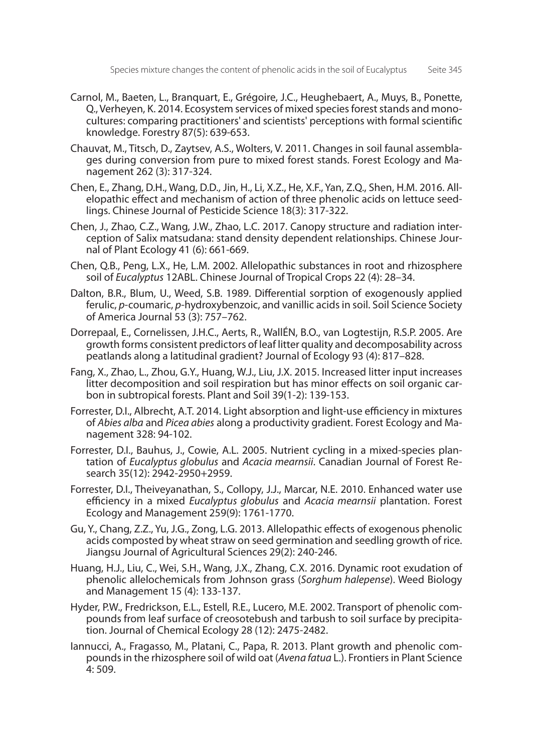- Carnol, M., Baeten, L., Branquart, E., Grégoire, J.C., Heughebaert, A., Muys, B., Ponette, Q., Verheyen, K. 2014. Ecosystem services of mixed species forest stands and monocultures: comparing practitioners' and scientists' perceptions with formal scientific knowledge. Forestry 87(5): 639-653.
- Chauvat, M., Titsch, D., Zaytsev, A.S., Wolters, V. 2011. Changes in soil faunal assemblages during conversion from pure to mixed forest stands. Forest Ecology and Management 262 (3): 317-324.
- Chen, E., Zhang, D.H., Wang, D.D., Jin, H., Li, X.Z., He, X.F., Yan, Z.Q., Shen, H.M. 2016. Allelopathic effect and mechanism of action of three phenolic acids on lettuce seedlings. Chinese Journal of Pesticide Science 18(3): 317-322.
- Chen, J., Zhao, C.Z., Wang, J.W., Zhao, L.C. 2017. Canopy structure and radiation interception of Salix matsudana: stand density dependent relationships. Chinese Journal of Plant Ecology 41 (6): 661-669.
- Chen, Q.B., Peng, L.X., He, L.M. 2002. Allelopathic substances in root and rhizosphere soil of *Eucalyptus* 12ABL. Chinese Journal of Tropical Crops 22 (4): 28–34.
- Dalton, B.R., Blum, U., Weed, S.B. 1989. Differential sorption of exogenously applied ferulic, *p*-coumaric, *p*-hydroxybenzoic, and vanillic acids in soil. Soil Science Society of America Journal 53 (3): 757–762.
- Dorrepaal, E., Cornelissen, J.H.C., Aerts, R., WallÉN, B.O., van Logtestijn, R.S.P. 2005. Are growth forms consistent predictors of leaf litter quality and decomposability across peatlands along a latitudinal gradient? Journal of Ecology 93 (4): 817–828.
- Fang, X., Zhao, L., Zhou, G.Y., Huang, W.J., Liu, J.X. 2015. Increased litter input increases litter decomposition and soil respiration but has minor effects on soil organic carbon in subtropical forests. Plant and Soil 39(1-2): 139-153.
- Forrester, D.I., Albrecht, A.T. 2014. Light absorption and light-use efficiency in mixtures of *Abies alba* and *Picea abies* along a productivity gradient. Forest Ecology and Management 328: 94-102.
- Forrester, D.I., Bauhus, J., Cowie, A.L. 2005. Nutrient cycling in a mixed-species plantation of *Eucalyptus globulus* and *Acacia mearnsii*. Canadian Journal of Forest Research 35(12): 2942-2950+2959.
- Forrester, D.I., Theiveyanathan, S., Collopy, J.J., Marcar, N.E. 2010. Enhanced water use efficiency in a mixed *Eucalyptus globulus* and *Acacia mearnsii* plantation. Forest Ecology and Management 259(9): 1761-1770.
- Gu, Y., Chang, Z.Z., Yu, J.G., Zong, L.G. 2013. Allelopathic effects of exogenous phenolic acids composted by wheat straw on seed germination and seedling growth of rice. Jiangsu Journal of Agricultural Sciences 29(2): 240-246.
- Huang, H.J., Liu, C., Wei, S.H., Wang, J.X., Zhang, C.X. 2016. Dynamic root exudation of phenolic allelochemicals from Johnson grass (*Sorghum halepense*). Weed Biology and Management 15 (4): 133-137.
- Hyder, P.W., Fredrickson, E.L., Estell, R.E., Lucero, M.E. 2002. Transport of phenolic compounds from leaf surface of creosotebush and tarbush to soil surface by precipitation. Journal of Chemical Ecology 28 (12): 2475-2482.
- Iannucci, A., Fragasso, M., Platani, C., Papa, R. 2013. Plant growth and phenolic compounds in the rhizosphere soil of wild oat (*Avena fatua* L.). Frontiers in Plant Science 4: 509.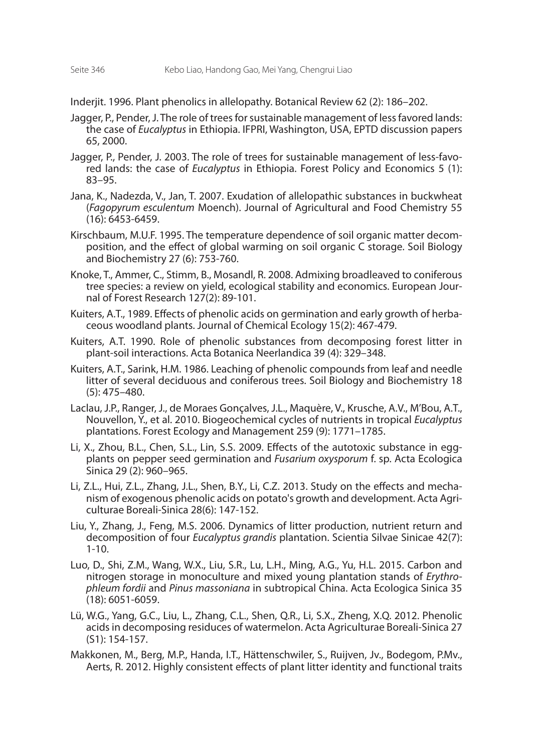Inderjit. 1996. Plant phenolics in allelopathy. Botanical Review 62 (2): 186–202.

- Jagger, P., Pender, J. The role of trees for sustainable management of less favored lands: the case of *Eucalyptus* in Ethiopia. IFPRI, Washington, USA, EPTD discussion papers 65, 2000.
- Jagger, P., Pender, J. 2003. The role of trees for sustainable management of less-favored lands: the case of *Eucalyptus* in Ethiopia. Forest Policy and Economics 5 (1): 83–95.
- Jana, K., Nadezda, V., Jan, T. 2007. Exudation of allelopathic substances in buckwheat (*Fagopyrum esculentum* Moench). Journal of Agricultural and Food Chemistry 55 (16): 6453-6459.
- Kirschbaum, M.U.F. 1995. The temperature dependence of soil organic matter decomposition, and the effect of global warming on soil organic C storage. Soil Biology and Biochemistry 27 (6): 753-760.
- Knoke, T., Ammer, C., Stimm, B., Mosandl, R. 2008. Admixing broadleaved to coniferous tree species: a review on yield, ecological stability and economics. European Journal of Forest Research 127(2): 89-101.
- Kuiters, A.T., 1989. Effects of phenolic acids on germination and early growth of herbaceous woodland plants. Journal of Chemical Ecology 15(2): 467-479.
- Kuiters, A.T. 1990. Role of phenolic substances from decomposing forest litter in plant-soil interactions. Acta Botanica Neerlandica 39 (4): 329–348.
- Kuiters, A.T., Sarink, H.M. 1986. Leaching of phenolic compounds from leaf and needle litter of several deciduous and coniferous trees. Soil Biology and Biochemistry 18 (5): 475–480.
- Laclau, J.P., Ranger, J., de Moraes Gonçalves, J.L., Maquère, V., Krusche, A.V., M'Bou, A.T., Nouvellon, Y., et al. 2010. Biogeochemical cycles of nutrients in tropical *Eucalyptus* plantations. Forest Ecology and Management 259 (9): 1771–1785.
- Li, X., Zhou, B.L., Chen, S.L., Lin, S.S. 2009. Effects of the autotoxic substance in eggplants on pepper seed germination and *Fusarium oxysporum* f. sp. Acta Ecologica Sinica 29 (2): 960–965.
- Li, Z.L., Hui, Z.L., Zhang, J.L., Shen, B.Y., Li, C.Z. 2013. Study on the effects and mechanism of exogenous phenolic acids on potato's growth and development. Acta Agriculturae Boreali-Sinica 28(6): 147-152.
- Liu, Y., Zhang, J., Feng, M.S. 2006. Dynamics of litter production, nutrient return and decomposition of four *Eucalyptus grandis* plantation. Scientia Silvae Sinicae 42(7): 1-10.
- Luo, D., Shi, Z.M., Wang, W.X., Liu, S.R., Lu, L.H., Ming, A.G., Yu, H.L. 2015. Carbon and nitrogen storage in monoculture and mixed young plantation stands of *Erythrophleum fordii* and *Pinus massoniana* in subtropical China. Acta Ecologica Sinica 35 (18): 6051-6059.
- Lü, W.G., Yang, G.C., Liu, L., Zhang, C.L., Shen, Q.R., Li, S.X., Zheng, X.Q. 2012. Phenolic acids in decomposing residuces of watermelon. Acta Agriculturae Boreali-Sinica 27 (S1): 154-157.
- Makkonen, M., Berg, M.P., Handa, I.T., Hättenschwiler, S., Ruijven, Jv., Bodegom, P.Mv., Aerts, R. 2012. Highly consistent effects of plant litter identity and functional traits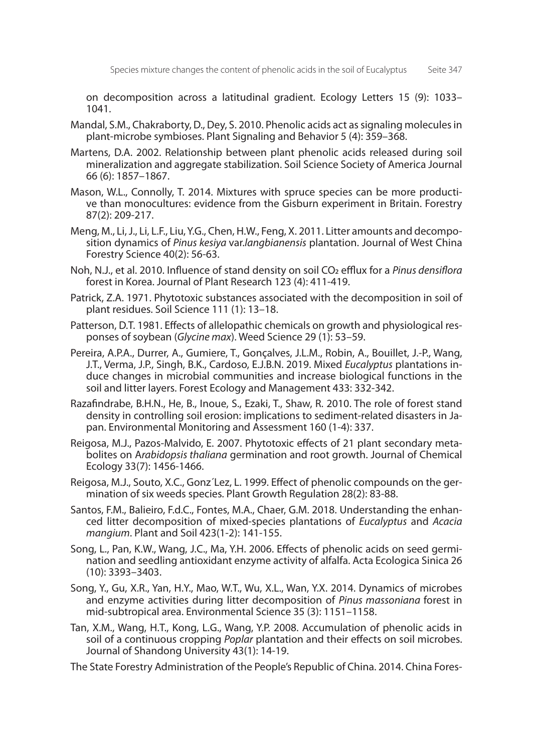on decomposition across a latitudinal gradient. Ecology Letters 15 (9): 1033– 1041.

- Mandal, S.M., Chakraborty, D., Dey, S. 2010. Phenolic acids act as signaling molecules in plant-microbe symbioses. Plant Signaling and Behavior 5 (4): 359–368.
- Martens, D.A. 2002. Relationship between plant phenolic acids released during soil mineralization and aggregate stabilization. Soil Science Society of America Journal 66 (6): 1857–1867.
- Mason, W.L., Connolly, T. 2014. Mixtures with spruce species can be more productive than monocultures: evidence from the Gisburn experiment in Britain. Forestry 87(2): 209-217.
- Meng, M., Li, J., Li, L.F., Liu, Y.G., Chen, H.W., Feng, X. 2011. Litter amounts and decomposition dynamics of *Pinus kesiya* var.*langbianensis* plantation. Journal of West China Forestry Science 40(2): 56-63.
- Noh, N.J., et al. 2010. Influence of stand density on soil CO2 efflux for a *Pinus densiflora*  forest in Korea. Journal of Plant Research 123 (4): 411-419.
- Patrick, Z.A. 1971. Phytotoxic substances associated with the decomposition in soil of plant residues. Soil Science 111 (1): 13–18.
- Patterson, D.T. 1981. Effects of allelopathic chemicals on growth and physiological responses of soybean (*Glycine max*). Weed Science 29 (1): 53–59.
- Pereira, A.P.A., Durrer, A., Gumiere, T., Gonçalves, J.L.M., Robin, A., Bouillet, J.-P., Wang, J.T., Verma, J.P., Singh, B.K., Cardoso, E.J.B.N. 2019. Mixed *Eucalyptus* plantations induce changes in microbial communities and increase biological functions in the soil and litter layers. Forest Ecology and Management 433: 332-342.
- Razafindrabe, B.H.N., He, B., Inoue, S., Ezaki, T., Shaw, R. 2010. The role of forest stand density in controlling soil erosion: implications to sediment-related disasters in Japan. Environmental Monitoring and Assessment 160 (1-4): 337.
- Reigosa, M.J., Pazos-Malvido, E. 2007. Phytotoxic effects of 21 plant secondary metabolites on A*rabidopsis thaliana* germination and root growth. Journal of Chemical Ecology 33(7): 1456-1466.
- Reigosa, M.J., Souto, X.C., Gonz´Lez, L. 1999. Effect of phenolic compounds on the germination of six weeds species. Plant Growth Regulation 28(2): 83-88.
- Santos, F.M., Balieiro, F.d.C., Fontes, M.A., Chaer, G.M. 2018. Understanding the enhanced litter decomposition of mixed-species plantations of *Eucalyptus* and *Acacia mangium*. Plant and Soil 423(1-2): 141-155.
- Song, L., Pan, K.W., Wang, J.C., Ma, Y.H. 2006. Effects of phenolic acids on seed germination and seedling antioxidant enzyme activity of alfalfa. Acta Ecologica Sinica 26 (10): 3393–3403.
- Song, Y., Gu, X.R., Yan, H.Y., Mao, W.T., Wu, X.L., Wan, Y.X. 2014. Dynamics of microbes and enzyme activities during litter decomposition of *Pinus massoniana* forest in mid-subtropical area. Environmental Science 35 (3): 1151–1158.
- Tan, X.M., Wang, H.T., Kong, L.G., Wang, Y.P. 2008. Accumulation of phenolic acids in soil of a continuous cropping *Poplar* plantation and their effects on soil microbes. Journal of Shandong University 43(1): 14-19.

The State Forestry Administration of the People's Republic of China. 2014. China Fores-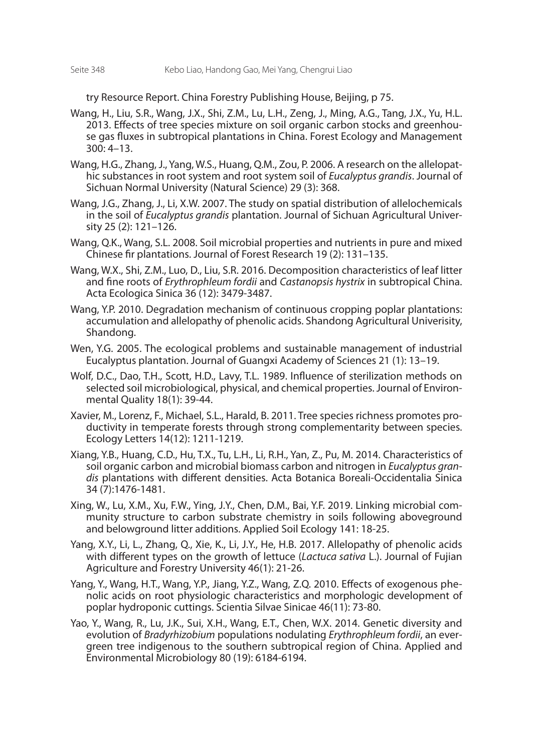try Resource Report. China Forestry Publishing House, Beijing, p 75.

- Wang, H., Liu, S.R., Wang, J.X., Shi, Z.M., Lu, L.H., Zeng, J., Ming, A.G., Tang, J.X., Yu, H.L. 2013. Effects of tree species mixture on soil organic carbon stocks and greenhouse gas fluxes in subtropical plantations in China. Forest Ecology and Management  $300:4 - 13$ .
- Wang, H.G., Zhang, J., Yang, W.S., Huang, Q.M., Zou, P. 2006. A research on the allelopathic substances in root system and root system soil of *Eucalyptus grandis*. Journal of Sichuan Normal University (Natural Science) 29 (3): 368.
- Wang, J.G., Zhang, J., Li, X.W. 2007. The study on spatial distribution of allelochemicals in the soil of *Eucalyptus grandis* plantation. Journal of Sichuan Agricultural University 25 (2): 121–126.
- Wang, Q.K., Wang, S.L. 2008. Soil microbial properties and nutrients in pure and mixed Chinese fir plantations. Journal of Forest Research 19 (2): 131–135.
- Wang, W.X., Shi, Z.M., Luo, D., Liu, S.R. 2016. Decomposition characteristics of leaf litter and fine roots of *Erythrophleum fordii* and *Castanopsis hystrix* in subtropical China. Acta Ecologica Sinica 36 (12): 3479-3487.
- Wang, Y.P. 2010. Degradation mechanism of continuous cropping poplar plantations: accumulation and allelopathy of phenolic acids. Shandong Agricultural Univerisity, Shandong.
- Wen, Y.G. 2005. The ecological problems and sustainable management of industrial Eucalyptus plantation. Journal of Guangxi Academy of Sciences 21 (1): 13–19.
- Wolf, D.C., Dao, T.H., Scott, H.D., Lavy, T.L. 1989. Influence of sterilization methods on selected soil microbiological, physical, and chemical properties. Journal of Environmental Quality 18(1): 39-44.
- Xavier, M., Lorenz, F., Michael, S.L., Harald, B. 2011. Tree species richness promotes productivity in temperate forests through strong complementarity between species. Ecology Letters 14(12): 1211-1219.
- Xiang, Y.B., Huang, C.D., Hu, T.X., Tu, L.H., Li, R.H., Yan, Z., Pu, M. 2014. Characteristics of soil organic carbon and microbial biomass carbon and nitrogen in *Eucalyptus grandis* plantations with different densities. Acta Botanica Boreali-Occidentalia Sinica 34 (7):1476-1481.
- Xing, W., Lu, X.M., Xu, F.W., Ying, J.Y., Chen, D.M., Bai, Y.F. 2019. Linking microbial community structure to carbon substrate chemistry in soils following aboveground and belowground litter additions. Applied Soil Ecology 141: 18-25.
- Yang, X.Y., Li, L., Zhang, Q., Xie, K., Li, J.Y., He, H.B. 2017. Allelopathy of phenolic acids with different types on the growth of lettuce (*Lactuca sativa* L.). Journal of Fujian Agriculture and Forestry University 46(1): 21-26.
- Yang, Y., Wang, H.T., Wang, Y.P., Jiang, Y.Z., Wang, Z.Q. 2010. Effects of exogenous phenolic acids on root physiologic characteristics and morphologic development of poplar hydroponic cuttings. Scientia Silvae Sinicae 46(11): 73-80.
- Yao, Y., Wang, R., Lu, J.K., Sui, X.H., Wang, E.T., Chen, W.X. 2014. Genetic diversity and evolution of *Bradyrhizobium* populations nodulating *Erythrophleum fordii*, an evergreen tree indigenous to the southern subtropical region of China. Applied and Environmental Microbiology 80 (19): 6184-6194.